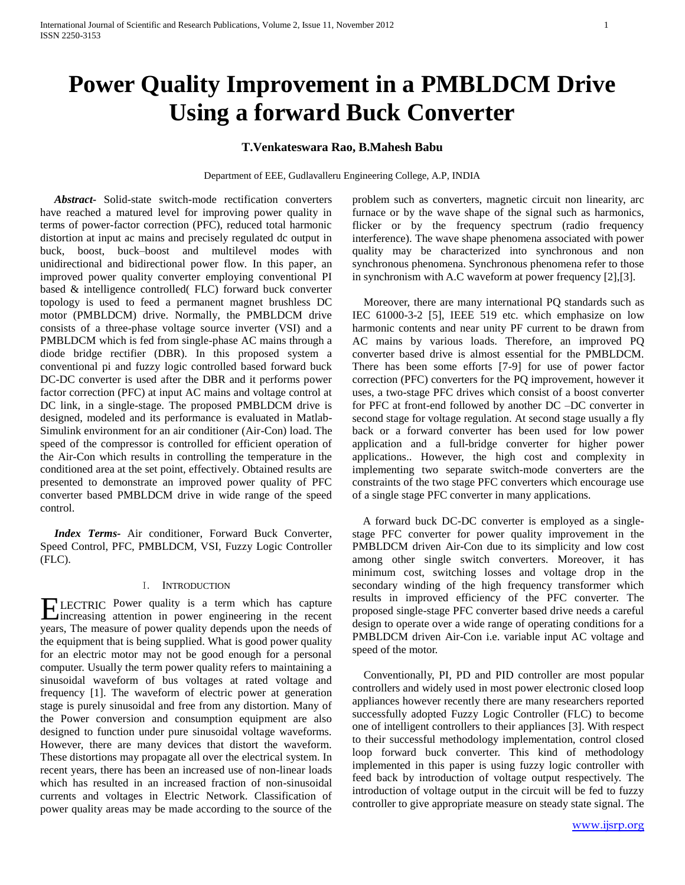# **Power Quality Improvement in a PMBLDCM Drive Using a forward Buck Converter**

# **T.Venkateswara Rao, B.Mahesh Babu**

Department of EEE, Gudlavalleru Engineering College, A.P, INDIA

 *Abstract-* Solid-state switch-mode rectification converters have reached a matured level for improving power quality in terms of power-factor correction (PFC), reduced total harmonic distortion at input ac mains and precisely regulated dc output in buck, boost, buck–boost and multilevel modes with unidirectional and bidirectional power flow. In this paper, an improved power quality converter employing conventional PI based & intelligence controlled( FLC) forward buck converter topology is used to feed a permanent magnet brushless DC motor (PMBLDCM) drive. Normally, the PMBLDCM drive consists of a three-phase voltage source inverter (VSI) and a PMBLDCM which is fed from single-phase AC mains through a diode bridge rectifier (DBR). In this proposed system a conventional pi and fuzzy logic controlled based forward buck DC-DC converter is used after the DBR and it performs power factor correction (PFC) at input AC mains and voltage control at DC link, in a single-stage. The proposed PMBLDCM drive is designed, modeled and its performance is evaluated in Matlab-Simulink environment for an air conditioner (Air-Con) load. The speed of the compressor is controlled for efficient operation of the Air-Con which results in controlling the temperature in the conditioned area at the set point, effectively. Obtained results are presented to demonstrate an improved power quality of PFC converter based PMBLDCM drive in wide range of the speed control.

 *Index Terms-* Air conditioner, Forward Buck Converter, Speed Control, PFC, PMBLDCM, VSI, Fuzzy Logic Controller (FLC).

# I. INTRODUCTION

LECTRIC Power quality is a term which has capture **ELECTRIC** Power quality is a term which has capture increasing attention in power engineering in the recent years, The measure of power quality depends upon the needs of the equipment that is being supplied. What is good power quality for an electric motor may not be good enough for a personal computer. Usually the term power quality refers to maintaining a sinusoidal waveform of bus voltages at rated voltage and frequency [1]. The waveform of electric power at generation stage is purely sinusoidal and free from any distortion. Many of the Power conversion and consumption equipment are also designed to function under pure sinusoidal voltage waveforms. However, there are many devices that distort the waveform. These distortions may propagate all over the electrical system. In recent years, there has been an increased use of non-linear loads which has resulted in an increased fraction of non-sinusoidal currents and voltages in Electric Network. Classification of power quality areas may be made according to the source of the

problem such as converters, magnetic circuit non linearity, arc furnace or by the wave shape of the signal such as harmonics, flicker or by the frequency spectrum (radio frequency interference). The wave shape phenomena associated with power quality may be characterized into synchronous and non synchronous phenomena. Synchronous phenomena refer to those in synchronism with A.C waveform at power frequency [2],[3].

 Moreover, there are many international PQ standards such as IEC 61000-3-2 [5], IEEE 519 etc. which emphasize on low harmonic contents and near unity PF current to be drawn from AC mains by various loads. Therefore, an improved PQ converter based drive is almost essential for the PMBLDCM. There has been some efforts [7-9] for use of power factor correction (PFC) converters for the PQ improvement, however it uses, a two-stage PFC drives which consist of a boost converter for PFC at front-end followed by another DC –DC converter in second stage for voltage regulation. At second stage usually a fly back or a forward converter has been used for low power application and a full-bridge converter for higher power applications.. However, the high cost and complexity in implementing two separate switch-mode converters are the constraints of the two stage PFC converters which encourage use of a single stage PFC converter in many applications.

 A forward buck DC-DC converter is employed as a singlestage PFC converter for power quality improvement in the PMBLDCM driven Air-Con due to its simplicity and low cost among other single switch converters. Moreover, it has minimum cost, switching losses and voltage drop in the secondary winding of the high frequency transformer which results in improved efficiency of the PFC converter. The proposed single-stage PFC converter based drive needs a careful design to operate over a wide range of operating conditions for a PMBLDCM driven Air-Con i.e. variable input AC voltage and speed of the motor.

 Conventionally, PI, PD and PID controller are most popular controllers and widely used in most power electronic closed loop appliances however recently there are many researchers reported successfully adopted Fuzzy Logic Controller (FLC) to become one of intelligent controllers to their appliances [3]. With respect to their successful methodology implementation, control closed loop forward buck converter. This kind of methodology implemented in this paper is using fuzzy logic controller with feed back by introduction of voltage output respectively. The introduction of voltage output in the circuit will be fed to fuzzy controller to give appropriate measure on steady state signal. The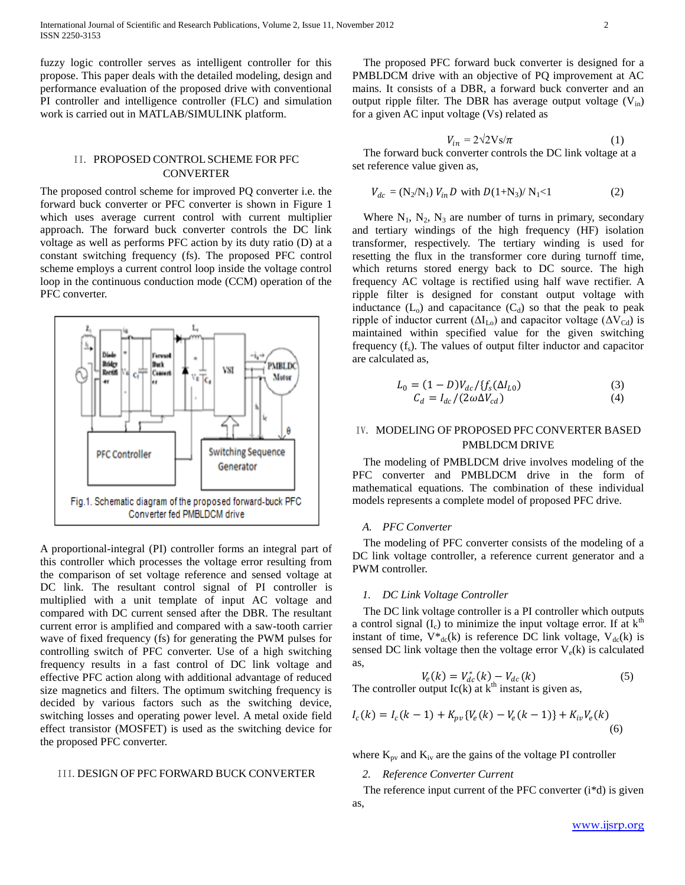fuzzy logic controller serves as intelligent controller for this propose. This paper deals with the detailed modeling, design and performance evaluation of the proposed drive with conventional PI controller and intelligence controller (FLC) and simulation work is carried out in MATLAB/SIMULINK platform.

# II. PROPOSED CONTROL SCHEME FOR PFC **CONVERTER**

The proposed control scheme for improved PQ converter i.e. the forward buck converter or PFC converter is shown in Figure 1 which uses average current control with current multiplier approach. The forward buck converter controls the DC link voltage as well as performs PFC action by its duty ratio (D) at a constant switching frequency (fs). The proposed PFC control scheme employs a current control loop inside the voltage control loop in the continuous conduction mode (CCM) operation of the PFC converter.



A proportional-integral (PI) controller forms an integral part of this controller which processes the voltage error resulting from the comparison of set voltage reference and sensed voltage at DC link. The resultant control signal of PI controller is multiplied with a unit template of input AC voltage and compared with DC current sensed after the DBR. The resultant current error is amplified and compared with a saw-tooth carrier wave of fixed frequency (fs) for generating the PWM pulses for controlling switch of PFC converter. Use of a high switching frequency results in a fast control of DC link voltage and effective PFC action along with additional advantage of reduced size magnetics and filters. The optimum switching frequency is decided by various factors such as the switching device, switching losses and operating power level. A metal oxide field effect transistor (MOSFET) is used as the switching device for the proposed PFC converter.

## III.DESIGN OF PFC FORWARD BUCK CONVERTER

 The proposed PFC forward buck converter is designed for a PMBLDCM drive with an objective of PQ improvement at AC mains. It consists of a DBR, a forward buck converter and an output ripple filter. The DBR has average output voltage  $(V_{in})$ for a given AC input voltage (Vs) related as

$$
V_{in} = 2\sqrt{2}Vs/\pi
$$
 (1)

 The forward buck converter controls the DC link voltage at a set reference value given as,

$$
V_{dc} = (N_2/N_1) V_{in} D \text{ with } D(1+N_3)/N_1 < 1
$$
 (2)

Where  $N_1$ ,  $N_2$ ,  $N_3$  are number of turns in primary, secondary and tertiary windings of the high frequency (HF) isolation transformer, respectively. The tertiary winding is used for resetting the flux in the transformer core during turnoff time, which returns stored energy back to DC source. The high frequency AC voltage is rectified using half wave rectifier. A ripple filter is designed for constant output voltage with inductance  $(L_0)$  and capacitance  $(C_d)$  so that the peak to peak ripple of inductor current ( $\Delta I_{Lo}$ ) and capacitor voltage ( $\Delta V_{Cd}$ ) is maintained within specified value for the given switching frequency  $(f_s)$ . The values of output filter inductor and capacitor are calculated as,

$$
L_0 = (1 - D)V_{dc}/\{f_s(\Delta I_{L0})\}
$$
  
\n
$$
C_d = I_{dc}/(2\omega\Delta V_{cd})
$$
\n(3)

# IV. MODELING OF PROPOSED PFC CONVERTER BASED PMBLDCM DRIVE

 The modeling of PMBLDCM drive involves modeling of the PFC converter and PMBLDCM drive in the form of mathematical equations. The combination of these individual models represents a complete model of proposed PFC drive.

## *A. PFC Converter*

 The modeling of PFC converter consists of the modeling of a DC link voltage controller, a reference current generator and a PWM controller.

#### *1. DC Link Voltage Controller*

 The DC link voltage controller is a PI controller which outputs a control signal  $(I_c)$  to minimize the input voltage error. If at  $k<sup>th</sup>$ instant of time,  $V^*_{dc}(k)$  is reference DC link voltage,  $V_{dc}(k)$  is sensed DC link voltage then the voltage error  $V_e(k)$  is calculated as,

$$
V_e(k) = V_{dc}^*(k) - V_{dc}(k)
$$
 (5)

The controller output  $Ic(k)$  at  $k<sup>th</sup>$  instant is given as,

$$
I_c(k) = I_c(k-1) + K_{pv} \{ V_e(k) - V_e(k-1) \} + K_{iv} V_e(k)
$$
\n(6)

where  $K_{pv}$  and  $K_{iv}$  are the gains of the voltage PI controller

## *2. Reference Converter Current*

 The reference input current of the PFC converter (i\*d) is given as,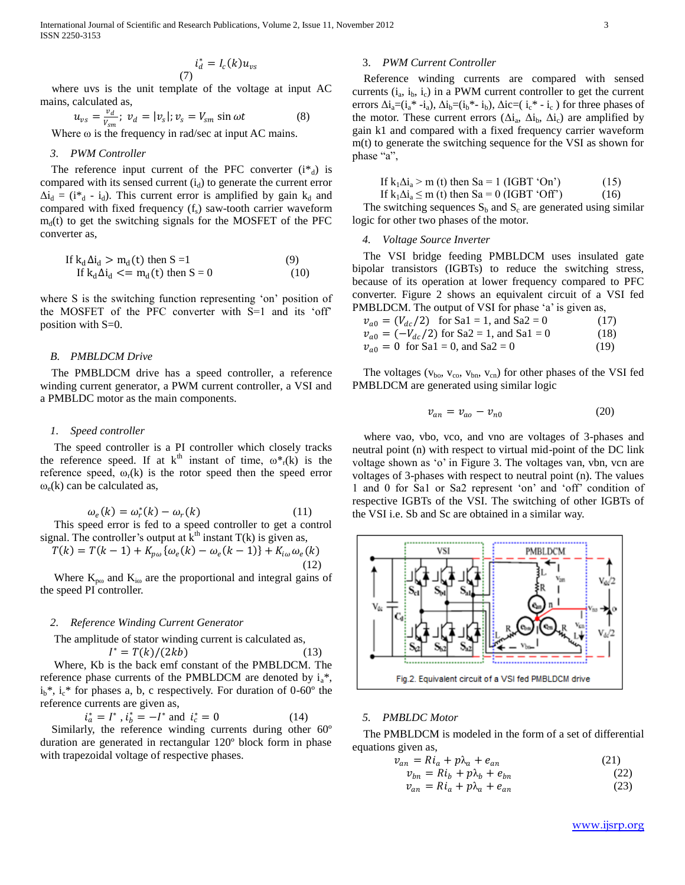$$
i_d^* = I_c(k)u_{vs}
$$

 where uvs is the unit template of the voltage at input AC mains, calculated as,

$$
u_{\nu s} = \frac{v_d}{v_{\rm sm}}; \ v_d = |v_s|; v_s = V_{\rm sm} \sin \omega t \tag{8}
$$

Where  $\omega$  is the frequency in rad/sec at input AC mains.

## *3. PWM Controller*

The reference input current of the PFC converter  $(i^*_{d})$  is compared with its sensed current  $(i_d)$  to generate the current error  $\Delta i_d = (i^*_{d} - i_{d})$ . This current error is amplified by gain  $k_d$  and compared with fixed frequency  $(f_s)$  saw-tooth carrier waveform  $m<sub>d</sub>(t)$  to get the switching signals for the MOSFET of the PFC converter as,

If 
$$
k_d \Delta i_d > m_d(t)
$$
 then  $S = 1$  (9)  
If  $k_d \Delta i_d \langle m_d(t) \rangle$  then  $S = 0$  (10)

where S is the switching function representing 'on' position of the MOSFET of the PFC converter with S=1 and its "off" position with S=0.

#### *B. PMBLDCM Drive*

 The PMBLDCM drive has a speed controller, a reference winding current generator, a PWM current controller, a VSI and a PMBLDC motor as the main components.

#### *1. Speed controller*

 The speed controller is a PI controller which closely tracks the reference speed. If at  $k^{th}$  instant of time,  $\omega^*_{r}(k)$  is the reference speed,  $\omega_r(k)$  is the rotor speed then the speed error  $\omega_e(k)$  can be calculated as,

$$
\omega_e(k) = \omega_r^*(k) - \omega_r(k) \tag{11}
$$

 This speed error is fed to a speed controller to get a control signal. The controller's output at  $k<sup>th</sup>$  instant  $T(k)$  is given as,

$$
T(k) = T(k-1) + K_{p\omega} \{ \omega_e(k) - \omega_e(k-1) \} + K_{i\omega} \omega_e(k)
$$
\n(12)

Where  $K_{p\omega}$  and  $K_{i\omega}$  are the proportional and integral gains of the speed PI controller.

#### *2. Reference Winding Current Generator*

The amplitude of stator winding current is calculated as,

$$
I^* = T(k)/(2kb) \tag{13}
$$

 Where, Kb is the back emf constant of the PMBLDCM. The reference phase currents of the PMBLDCM are denoted by  $i_a^*$ ,  $i_b$ <sup>\*</sup>,  $i_c$ <sup>\*</sup> for phases a, b, c respectively. For duration of 0-60<sup>°</sup> the reference currents are given as,

$$
i_a^* = I^*
$$
,  $i_b^* = -I^*$  and  $i_c^* = 0$  (14)

 Similarly, the reference winding currents during other 60º duration are generated in rectangular 120º block form in phase with trapezoidal voltage of respective phases.

# 3. *PWM Current Controller*

 Reference winding currents are compared with sensed currents  $(i_a, i_b, i_c)$  in a PWM current controller to get the current errors  $\Delta i_a = (i_a * -i_a)$ ,  $\Delta i_b = (i_b * - i_b)$ ,  $\Delta i_c = (i_c * -i_c)$  for three phases of the motor. These current errors  $(\Delta i_a, \Delta i_b, \Delta i_c)$  are amplified by gain k1 and compared with a fixed frequency carrier waveform m(t) to generate the switching sequence for the VSI as shown for phase "a",

If 
$$
k_1 \Delta i_a > m
$$
 (t) then  $Sa = 1$  (IGBT 'On') (15)

If 
$$
k_1 \Delta i_a \le m
$$
 (t) then  $Sa = 0$  (IGBT 'Off') (16)

The switching sequences  $S_b$  and  $S_c$  are generated using similar logic for other two phases of the motor.

#### *4. Voltage Source Inverter*

 The VSI bridge feeding PMBLDCM uses insulated gate bipolar transistors (IGBTs) to reduce the switching stress, because of its operation at lower frequency compared to PFC converter. Figure 2 shows an equivalent circuit of a VSI fed PMBLDCM. The output of VSI for phase 'a' is given as,

$$
v_{a0} = (V_{dc}/2) \text{ for Sa1} = 1, \text{ and Sa2} = 0 \tag{17}
$$
  
\n
$$
v_{a0} = (-V_{dc}/2) \text{ for Sa2} = 1, \text{ and Sa1} = 0 \tag{18}
$$
  
\n
$$
v_{a0} = 0 \text{ for Sa1} = 0, \text{ and Sa2} = 0 \tag{19}
$$

The voltages ( $v_{bo}$ ,  $v_{co}$ ,  $v_{bn}$ ,  $v_{cn}$ ) for other phases of the VSI fed PMBLDCM are generated using similar logic

$$
v_{an} = v_{ao} - v_{n0} \tag{20}
$$

 where vao, vbo, vco, and vno are voltages of 3-phases and neutral point (n) with respect to virtual mid-point of the DC link voltage shown as "o" in Figure 3. The voltages van, vbn, vcn are voltages of 3-phases with respect to neutral point (n). The values 1 and 0 for Sa1 or Sa2 represent "on" and "off" condition of respective IGBTs of the VSI. The switching of other IGBTs of the VSI i.e. Sb and Sc are obtained in a similar way.



## *5. PMBLDC Motor*

 The PMBLDCM is modeled in the form of a set of differential equations given as,

$$
v_{an} = Ri_a + p\lambda_a + e_{an}
$$
\n
$$
v_{an} = Bi_a + p\lambda_a + e_{an}
$$
\n(21)

$$
\begin{aligned} v_{bn} &= Ri_b + p\lambda_b + e_{bn} \\ v_{an} &= Ri_a + p\lambda_a + e_{an} \end{aligned} \tag{22}
$$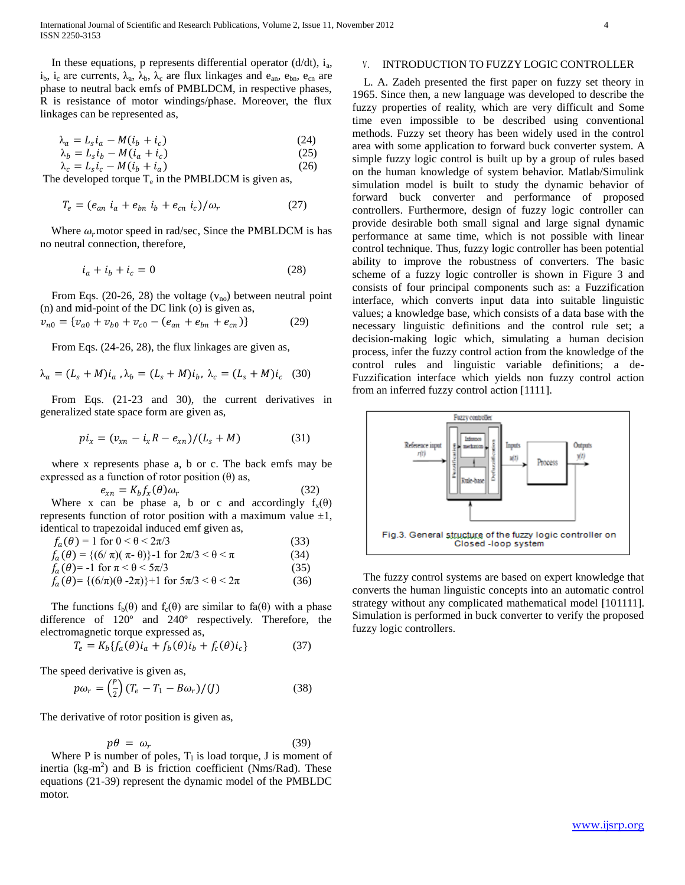International Journal of Scientific and Research Publications, Volume 2, Issue 11, November 2012 4 ISSN 2250-3153

In these equations, p represents differential operator  $(d/dt)$ ,  $i_a$ ,  $i_b$ ,  $i_c$  are currents,  $\lambda_a$ ,  $\lambda_b$ ,  $\lambda_c$  are flux linkages and  $e_{an}$ ,  $e_{bn}$ ,  $e_{cn}$  are phase to neutral back emfs of PMBLDCM, in respective phases, R is resistance of motor windings/phase. Moreover, the flux linkages can be represented as,

$$
\lambda_a = L_s i_a - M(i_b + i_c) \tag{24}
$$

$$
\lambda_b = L_s i_b - M(i_a + i_c) \tag{25}
$$

 $\lambda_c = L_s i_c - M(i_b + i_a)$ (26)

The developed torque  $T_e$  in the PMBLDCM is given as,

$$
T_e = (e_{an} \, i_a + e_{bn} \, i_b + e_{cn} \, i_c) / \omega_r \tag{27}
$$

Where  $\omega_r$  motor speed in rad/sec, Since the PMBLDCM is has no neutral connection, therefore,

$$
i_a + i_b + i_c = 0 \tag{28}
$$

From Eqs. (20-26, 28) the voltage  $(v_{no})$  between neutral point (n) and mid-point of the DC link (o) is given as,

$$
v_{n0} = \{v_{a0} + v_{b0} + v_{c0} - (e_{an} + e_{bn} + e_{cn})\}
$$
 (29)

From Eqs. (24-26, 28), the flux linkages are given as,

$$
\lambda_a = (L_s + M)i_a, \lambda_b = (L_s + M)i_b, \lambda_c = (L_s + M)i_c
$$
 (30)

 From Eqs. (21-23 and 30), the current derivatives in generalized state space form are given as,

$$
pi_x = (v_{xn} - i_x R - e_{xn})/(L_s + M)
$$
 (31)

 where x represents phase a, b or c. The back emfs may be expressed as a function of rotor position  $(\theta)$  as,

$$
e_{xn} = K_b f_x(\theta) \omega_r \tag{32}
$$

Where x can be phase a, b or c and accordingly  $f_x(\theta)$ represents function of rotor position with a maximum value  $\pm 1$ , identical to trapezoidal induced emf given as,

$$
f_a(\theta) = 1 \text{ for } 0 < \theta < 2\pi/3
$$
 (33)  
\n
$$
f_a(\theta) = \{ (6/\pi)(\pi - \theta) \} - 1 \text{ for } 2\pi/3 < \theta < \pi
$$
 (34)  
\n
$$
f_a(\theta) = -1 \text{ for } \pi < \theta < 5\pi/3
$$
 (35)

$$
f_{a}(\theta) = \{(6/\pi)(\theta - 2\pi)\} + 1 \text{ for } 5\pi/3 < \theta < 2\pi
$$
 (36)

The functions  $f_b(\theta)$  and  $f_c(\theta)$  are similar to fa( $\theta$ ) with a phase difference of 120º and 240º respectively. Therefore, the electromagnetic torque expressed as,

$$
T_e = K_b \{ f_a(\theta) i_a + f_b(\theta) i_b + f_c(\theta) i_c \}
$$
(37)

The speed derivative is given as,

$$
p\omega_r = \left(\frac{P}{2}\right)(T_e - T_1 - B\omega_r)/(J) \tag{38}
$$

The derivative of rotor position is given as,

$$
p\theta = \omega_r \tag{39}
$$

Where P is number of poles,  $T_1$  is load torque, J is moment of inertia (kg-m 2 ) and B is friction coefficient (Nms/Rad). These equations (21-39) represent the dynamic model of the PMBLDC motor.

## V. INTRODUCTION TO FUZZY LOGIC CONTROLLER

 L. A. Zadeh presented the first paper on fuzzy set theory in 1965. Since then, a new language was developed to describe the fuzzy properties of reality, which are very difficult and Some time even impossible to be described using conventional methods. Fuzzy set theory has been widely used in the control area with some application to forward buck converter system. A simple fuzzy logic control is built up by a group of rules based on the human knowledge of system behavior. Matlab/Simulink simulation model is built to study the dynamic behavior of forward buck converter and performance of proposed controllers. Furthermore, design of fuzzy logic controller can provide desirable both small signal and large signal dynamic performance at same time, which is not possible with linear control technique. Thus, fuzzy logic controller has been potential ability to improve the robustness of converters. The basic scheme of a fuzzy logic controller is shown in Figure 3 and consists of four principal components such as: a Fuzzification interface, which converts input data into suitable linguistic values; a knowledge base, which consists of a data base with the necessary linguistic definitions and the control rule set; a decision-making logic which, simulating a human decision process, infer the fuzzy control action from the knowledge of the control rules and linguistic variable definitions; a de-Fuzzification interface which yields non fuzzy control action from an inferred fuzzy control action [1111].



 The fuzzy control systems are based on expert knowledge that converts the human linguistic concepts into an automatic control strategy without any complicated mathematical model [101111]. Simulation is performed in buck converter to verify the proposed fuzzy logic controllers.

www.ijsrp.org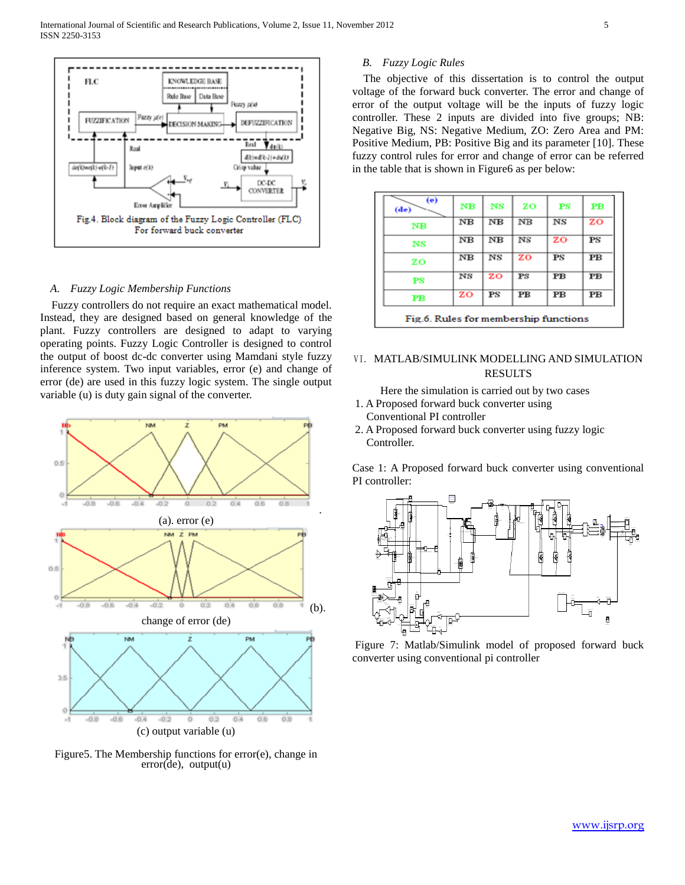

## *A. Fuzzy Logic Membership Functions*

 Fuzzy controllers do not require an exact mathematical model. Instead, they are designed based on general knowledge of the plant. Fuzzy controllers are designed to adapt to varying operating points. Fuzzy Logic Controller is designed to control the output of boost dc-dc converter using Mamdani style fuzzy inference system. Two input variables, error (e) and change of error (de) are used in this fuzzy logic system. The single output variable (u) is duty gain signal of the converter.



Figure5. The Membership functions for error(e), change in  $error(de)$ , output(u)

# *B. Fuzzy Logic Rules*

 The objective of this dissertation is to control the output voltage of the forward buck converter. The error and change of error of the output voltage will be the inputs of fuzzy logic controller. These 2 inputs are divided into five groups; NB: Negative Big, NS: Negative Medium, ZO: Zero Area and PM: Positive Medium, PB: Positive Big and its parameter [10]. These fuzzy control rules for error and change of error can be referred in the table that is shown in Figure6 as per below:

| (e)<br>(de)    | <b>NB</b>   | NS          | <b>ZO</b>   | <b>PS</b>                | $_{\rm PB}$              |
|----------------|-------------|-------------|-------------|--------------------------|--------------------------|
| N <sub>B</sub> | $_{\rm NB}$ | $_{\rm NB}$ | $_{\rm NB}$ | $_{\rm NS}$              | zo                       |
| $_{\rm NS}$    | $_{\rm NB}$ | $_{\rm NB}$ | $_{\rm NS}$ | zo                       | $_{\rm PS}$              |
| zo             | $_{\rm NB}$ | NS          | zo          | $_{\rm PS}$              | $\bf{PB}$                |
| $_{\rm PS}$    | $_{\rm NS}$ | zo          | $_{\rm PS}$ | $\overline{\mathbf{PB}}$ | $\overline{\mathbf{PB}}$ |
| $_{\rm PB}$    | zo          | PS          | РB          | PВ                       | PВ                       |

# VI. MATLAB/SIMULINK MODELLING AND SIMULATION RESULTS

Here the simulation is carried out by two cases

- 1. A Proposed forward buck converter using Conventional PI controller
- 2. A Proposed forward buck converter using fuzzy logic Controller.

Case 1: A Proposed forward buck converter using conventional PI controller:



Figure 7: Matlab/Simulink model of proposed forward buck converter using conventional pi controller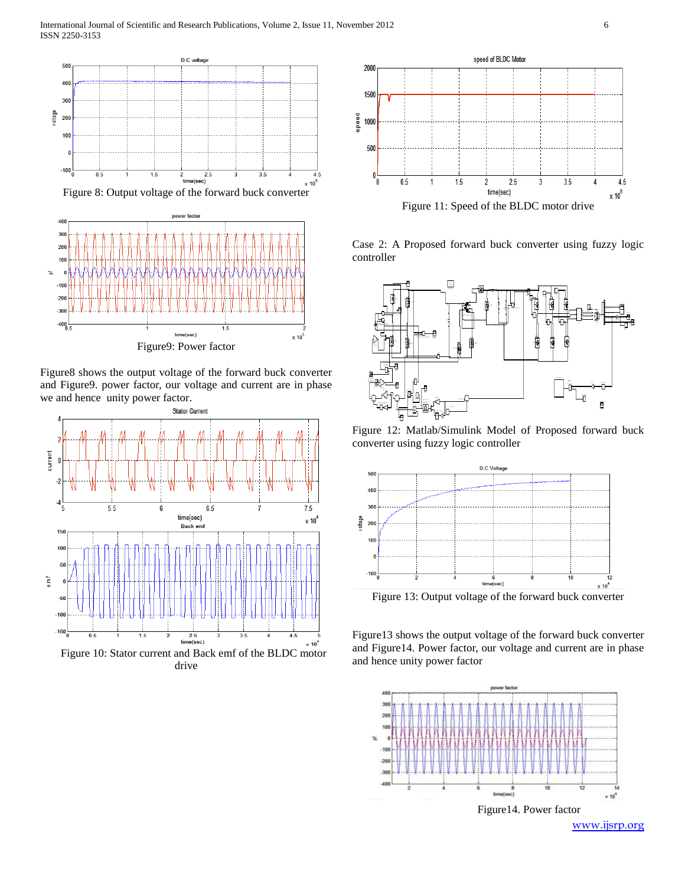



Figure8 shows the output voltage of the forward buck converter and Figure9. power factor, our voltage and current are in phase we and hence unity power factor.



drive



Case 2: A Proposed forward buck converter using fuzzy logic controller



Figure 12: Matlab/Simulink Model of Proposed forward buck converter using fuzzy logic controller



Figure 13: Output voltage of the forward buck converter

Figure13 shows the output voltage of the forward buck converter and Figure14. Power factor, our voltage and current are in phase and hence unity power factor

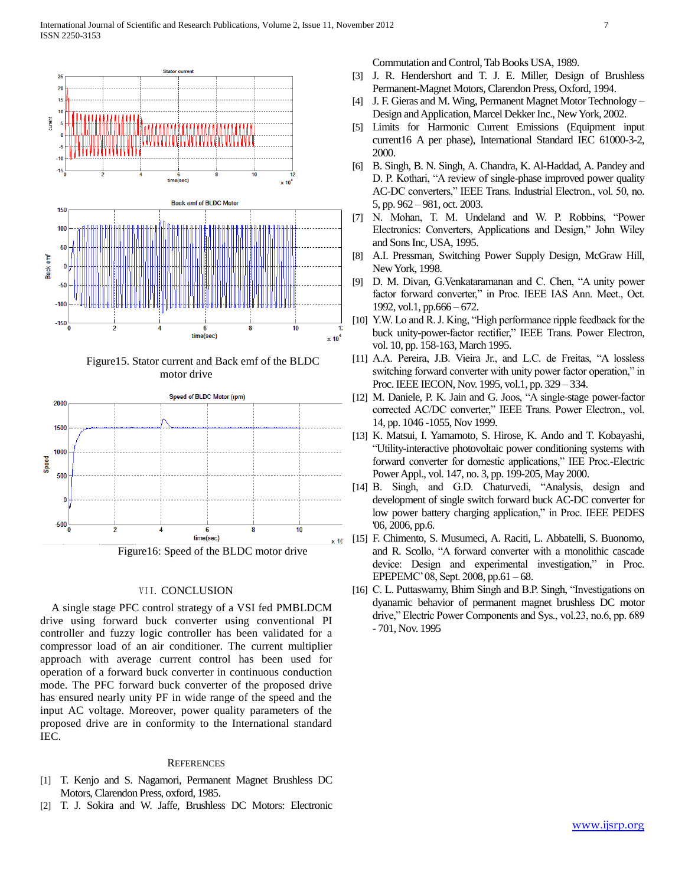

 Figure15. Stator current and Back emf of the BLDC motor drive



# VII. CONCLUSION

 A single stage PFC control strategy of a VSI fed PMBLDCM drive using forward buck converter using conventional PI controller and fuzzy logic controller has been validated for a compressor load of an air conditioner. The current multiplier approach with average current control has been used for operation of a forward buck converter in continuous conduction mode. The PFC forward buck converter of the proposed drive has ensured nearly unity PF in wide range of the speed and the input AC voltage. Moreover, power quality parameters of the proposed drive are in conformity to the International standard IEC.

#### **REFERENCES**

- [1] T. Kenjo and S. Nagamori, Permanent Magnet Brushless DC Motors, Clarendon Press, oxford, 1985.
- [2] T. J. Sokira and W. Jaffe, Brushless DC Motors: Electronic

Commutation and Control, Tab Books USA, 1989.

- [3] J. R. Hendershort and T. J. E. Miller, Design of Brushless Permanent-Magnet Motors, Clarendon Press, Oxford, 1994.
- [4] J. F. Gieras and M. Wing, Permanent Magnet Motor Technology Design and Application, Marcel Dekker Inc., New York, 2002.
- [5] Limits for Harmonic Current Emissions (Equipment input current16 A per phase), International Standard IEC 61000-3-2, 2000.
- [6] B. Singh, B. N. Singh, A. Chandra, K. Al-Haddad, A. Pandey and D. P. Kothari, "A review of single-phase improved power quality AC-DC converters," IEEE Trans. Industrial Electron., vol. 50, no. 5, pp. 962 – 981, oct. 2003.
- [7] N. Mohan, T. M. Undeland and W. P. Robbins, "Power Electronics: Converters, Applications and Design," John Wiley and Sons Inc, USA, 1995.
- [8] A.I. Pressman, Switching Power Supply Design, McGraw Hill, New York, 1998.
- [9] D. M. Divan, G.Venkataramanan and C. Chen, "A unity power factor forward converter," in Proc. IEEE IAS Ann. Meet., Oct. 1992, vol.1, pp.666 – 672.
- [10] Y.W. Lo and R. J. King, "High performance ripple feedback for the buck unity-power-factor rectifier," IEEE Trans. Power Electron, vol. 10, pp. 158-163, March 1995.
- [11] A.A. Pereira, J.B. Vieira Jr., and L.C. de Freitas, "A lossless switching forward converter with unity power factor operation," in Proc. IEEE IECON, Nov. 1995, vol.1, pp. 329 – 334.
- [12] M. Daniele, P. K. Jain and G. Joos, "A single-stage power-factor" corrected AC/DC converter," IEEE Trans. Power Electron., vol. 14, pp. 1046 -1055, Nov 1999.
- [13] K. Matsui, I. Yamamoto, S. Hirose, K. Ando and T. Kobayashi, "Utility-interactive photovoltaic power conditioning systems with forward converter for domestic applications," IEE Proc.-Electric Power Appl., vol. 147, no. 3, pp. 199-205, May 2000.
- [14] B. Singh, and G.D. Chaturvedi, "Analysis, design and development of single switch forward buck AC-DC converter for low power battery charging application," in Proc. IEEE PEDES '06, 2006, pp.6.
- [15] F. Chimento, S. Musumeci, A. Raciti, L. Abbatelli, S. Buonomo, and R. Scollo, "A forward converter with a monolithic cascade device: Design and experimental investigation," in Proc. EPEPEMC" 08, Sept. 2008, pp.61 – 68.
- [16] C. L. Puttaswamy, Bhim Singh and B.P. Singh, "Investigations on dyanamic behavior of permanent magnet brushless DC motor drive," Electric Power Components and Sys., vol.23, no.6, pp. 689 - 701, Nov. 1995